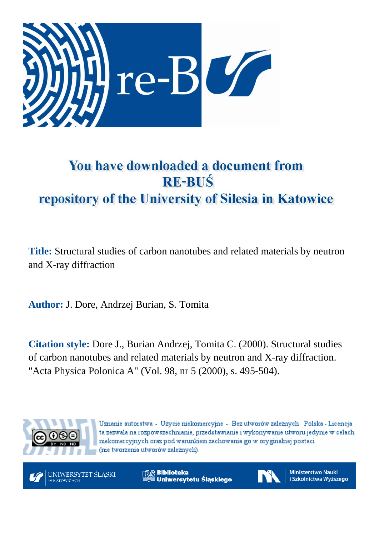

# You have downloaded a document from **RE-BUŚ** repository of the University of Silesia in Katowice

**Title:** Structural studies of carbon nanotubes and related materials by neutron and X-ray diffraction

**Author:** J. Dore, Andrzej Burian, S. Tomita

**Citation style:** Dore J., Burian Andrzej, Tomita C. (2000). Structural studies of carbon nanotubes and related materials by neutron and X-ray diffraction. "Acta Physica Polonica A" (Vol. 98, nr 5 (2000), s. 495-504).



Uznanie autorstwa - Użycie niekomercyjne - Bez utworów zależnych Polska - Licencja ta zezwala na rozpowszechnianie, przedstawianie i wykonywanie utworu jedynie w celach niekomercyjnych oraz pod warunkiem zachowania go w oryginalnej postaci (nie tworzenia utworów zależnych).



**Biblioteka** Uniwersytetu Śląskiego



**Ministerstwo Nauki** i Szkolnictwa Wyższego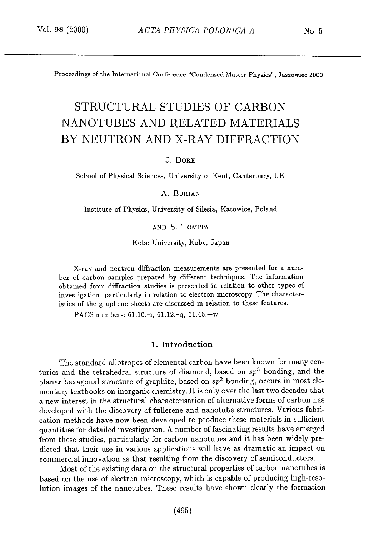Proceedings of the International Conference "Condensed Matter Physics", Jaszowiec 2000

# STRUCTURAL STUDIES OF CARBON NANOTUBES AND RELATED MATERIALS BY NEUTRON AND X-RAY DIFFRACTION

J. DORE

School of Physical Sciences, University of Kent, Canterbury, UK

A. BURIAN

Institute of Physics, University of Silesia, Katowice, Poland

AND S. TOMITA

Kobe University, Kobe, Japan

X-ray and neutron diffraction measurements are presented for a number of carbon samples prepared by different techniques. The information obtained from diffraction studies is presented in relation to other types of investigation, particularly in relation to electron microscopy. The characteristics of the graphene sheets are discussed in relation to these features.

PACS numbers: 61.10.-i, 61.12.-q, 61.46.+w

# 1. Introduction

The standard allotropes of elemental carbon have been known for many centuries and the tetrahedral structure of diamond, based on *sp3* bonding, and the planar hexagonal structure of graphite, based on *sp2* bonding, occurs in most elementary textbooks on morganic chemistry. It is only over the last two decades that a new interest in the structural characterisation of alternative forms of carbon has developed with the discovery of fullerene and nanotube structures. Various fabrication methods have now been developed to produce these materials in sufficient quantities for detailed investigation. A number of fascinating results have emerged from these studies, particularly for carbon nanotubes and it has been widely predicted that their use in various applications will have as dramatic an impact on commercial innovation as that resulting from the discovery of semiconductors.

Most of the existing data on the structural properties of carbon nanotubes is based on the use of electron microscopy, which is capable of producing high-resolution images of the nanotubes. These results have shown clearly the formation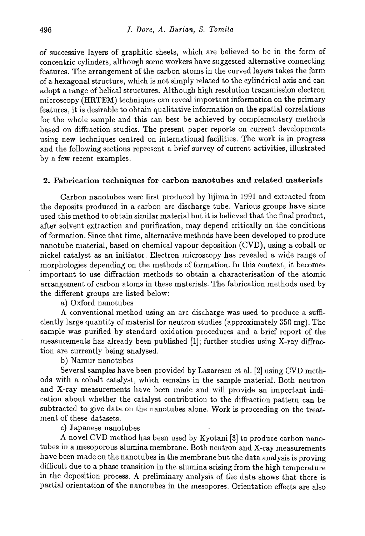of successive layers of graphitic sheets, which are believed to be in the form of concentric cylinders, although some workers have suggested alternative connecting features. The arrangement of the carbon atoms in the curved layers takes the form of a hexagonal structure, which is not simply related to the cylindrical axis and can adopt a range of helical structures. Although high resolution transmission electron microscopy (HRTEM) techniques can reveal important information on the primary features, it is desirable to obtain qualitative information on the spatial correlations for the whole sample and this can best be achieved by complementary methods based on diffraction studies. The present paper reports on current developments using new techniques centred on international facilities. The work is in progress and the following sections represent a brief survey of current activities, illustrated by a few recent examples.

## **2. Fabrication techniques for carbon nanotubes and related materials**

Carbon nanotubes were first produced by Iijima in *1991* and extracted from the deposits produced in a carbon arc discharge tube. Various groups have since used this method to obtain similar material but it is believed that the final product, after solvent extraction and purification, may depend critically on the conditions of formation. Since that time, alternative methods have been developed to produce nanotube material, based on chemical vapour deposition (CVD), using a cobalt or nickel catalyst as an initiator. Electron microscopy has revealed a wide range of morphologies depending on the methods of formation. In this context, it becomes important to use diffraction methods to obtain a characterisation of the atomic arrangement of carbon atoms in these materials. The fabrication methods used by the different groups are listed below:

a) Oxford nanotubes

A conventional method using an arc discharge was used to produce a sufficiently large quantity of material for neutron studies (approximately 350 mg). The sample was purified by standard oxidation procedures and a brief report of the measurements has already been published [1]; further studies using X-ray diffraction are currently being analysed.

b) Namur nanotubes

Several samples have been provided by Lazarescu et al. [2] using CVD methods with a cobalt catalyst, which remains in the sample material. Both neutron and X-ray measurements have been made and will provide an important indication about whether the catalyst contribution to the diffraction pattern can be subtracted to give data on the nanotubes alone. Work is proceeding on the treatment of these datasets.

c) Japanese nanotubes

A novel CVD method has been used by Kyotani [3] to produce carbon nanotubes in a mesoporous alumina membrane. Both neutron and X-ray measurements have been made on the nanotubes in the membrane but the data analysis is proving difficult due to a phase transition in the alumina arising from the high temperature in the deposition process. A preliminary analysis of the data shows that there is partial orientation of the nanotubes in the mesopores. Orientation effects are also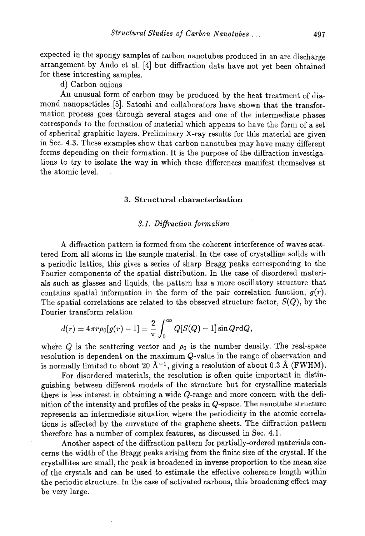expected in the spongy samples of carbon nanotubes produced in an arc discharge arrangement by Ando et al. [4] but diffraction data have not yet been obtained for these interesting samples.

d) Carbon onions

An unusual form of carbon may be produced by the heat treatment of diamond nanoparticles [5]. Satoshi and collaborators have shown that the transformation process goes through several stages and one of the intermediate phases corresponds to the formation of material which appears to have the form of a set of spherical graphitic layers. Preliminary X-ray results for this material are given in Sec. 4.3. These examples show that carbon nanotubes may have many different forms depending on their formation. It is the purpose of the diffraction investigations to try to isolate the way in which these differences manifest themselves at the atomic level.

### 3. Structural characterisation

#### *3.1. Diffraction formalsm*

A diffraction pattern is formed from the coherent interference of waves scattered from all atoms in the sample material. In the case of crystalline solids with a periodic lattice, this gives a series of sharp Bragg peaks corresponding to the Fourier components of the spatial distribution. In the case of disordered materials such as glasses and liquids, the pattern has a more oscillatory structure that contains spatial information in the form of the pair correlation function,  $g(r)$ . The spatial correlations are related to the observed structure factor, *S(Q),* by the Fourier transform relation

$$
d(r) = 4\pi r \rho_0[g(r) - 1] = \frac{2}{\pi} \int_0^\infty Q[S(Q) - 1] \sin Qr dQ,
$$

where  $Q$  is the scattering vector and  $\rho_0$  is the number density. The real-space resolution is dependent on the maximum Q-value in the range of observation and is normally limited to about 20  $\rm \AA^{-1}$ , giving a resolution of about 0.3 Å (FWHM).

For disordered materials, the resolution is often quite important in distinguishing between different models of the structure but for crystalline materials there is less interest in obtaining a wide Q-range and more concern with the definition of the intensity and profiles of the peaks in Q-space. The nanotube structure represents an intermediate situation where the periodicity in the atomic correlations is affected by the curvature of the graphene sheets. The diffraction pattern therefore has a number of complex features, as discussed in Sec. 4.1.

Another aspect of the diffraction pattern for partially-ordered materials concerns the width of the Bragg peaks arising from the finite size of the crystal. If the crystallites are small, the peak is broadened in inverse proportion to the mean size of the crystals and can be used to estimate the effective coherence length within the periodic structure. In the case of activated carbons, this broadening effect may be very large.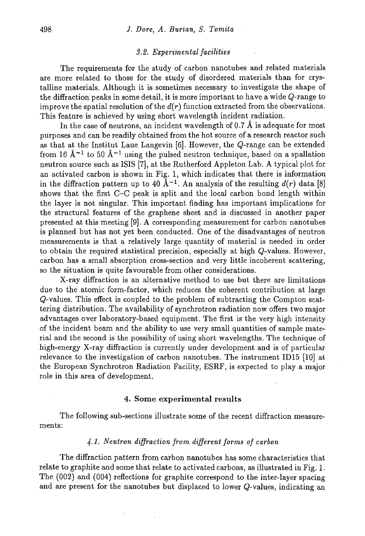#### *3.2. Experimental facilties*

The requirements for the study of carbon nanotubes and related materials are more related to those for the study of disordered materials than for crystalline materials. Although it is sometimes necessary to investigate the shape of the diffraction peaks in some detail, it is more important to have a wide Q-range to improve the spatial resolution of the *d(r)* function extracted from the observations. This feature is achieved by using short wavelength incident radiation.

In the case of neutrons, an incident wavelength of  $0.7 \text{ Å}$  is adequate for most purposes and can be readily obtained from the hot source of a research reactor such as that at the Institut Laue Langevin [6]. However, the Q-range can be extended from 16  $\rm \AA^{-1}$  to 50  $\rm \AA^{-1}$  using the pulsed neutron technique, based on a spallation neutron source such as ISIS [7], at the Rutherford Appleton Lab. A typical plot for an activated carbon is shown in Fig. 1, which indicates that there is information in the diffraction pattern up to 40  $\AA^{-1}$ . An analysis of the resulting  $d(r)$  data [8] shows that the first C—C peak is split and the local carbon bond length within the layer is not singular. This important finding has important implications for the structural features of the graphene sheet and is discussed in another paper presented at this meeting [9]. A corresponding measurement for carbon nanotubes is planned but has not yet been conducted. One of the disadvantages of neutron measurements is that a relatively large quantity of material is needed in order to obtain the required statistical precision, especially at high Q-values. However, carbon has a small absorption cross-section and very little incoherent scattering, so the situation is quite favourable from other considerations.

X-ray diffraction is an alternative method to use but there are limitations due to the atomic form-factor, which reduces the coherent contribution at large Q-values. This effect is coupled to the problem of subtracting the Compton scattering distribution. The availability of synchrotron radiation now offers two major advantages over laboratory-based equipment. The first is the very high intensity of the incident beam and the ability to use very small quantities of sample material and the second is the possibility of using short wavelengths. The technique of high-energy X-ray diffraction is currently under development and is of particular relevance to the investigation of carbon nanotubes. The instrument ID15 [10] at the European Synchrotron Radiation Facility, ESRF, is expected to play a major role in this area of development.

#### 4. Some experimental results

The following sub-sections illustrate some of the recent diffraction measurements:

#### *4.1. Neutron diffraction from different forms of carbon*

The diffraction pattern from carbon nanotubes has some characteristics that relate to graphite and some that relate to activated carbons, as illustrated in Fig. 1. The (002) and (004) reflections for graphite correspond to the inter-layer spacing and are present for the nanotubes but displaced to lower Q-values, indicating an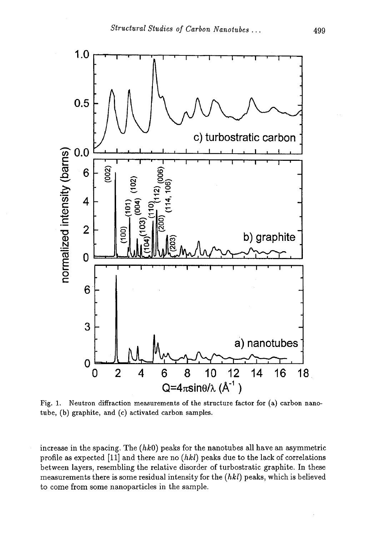

Fig. 1. Neutron diffraction measurements of the structure factor for (a) carbon nanotube, (b) graphite, and (c) activated carbon samples.

increase in the spacing. The *(hk0)* peaks for the nanotubes all have an asymmetric profile as expected [11] and there are no *(hkl)* peaks due to the lack of correlations between layers, resembling the relative disorder of turbostratic graphite. In these measurements there is some residual intensity for the *(hkl)* peaks, which is believed to come from some nanoparticles in the sample.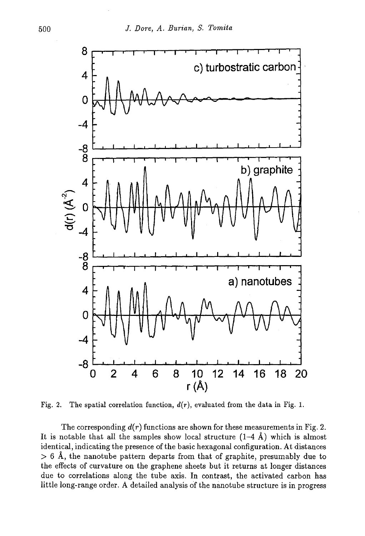

Fig. 2. The spatial correlation function, *d(r),* evaluated from the data in Fig. 1.

The corresponding  $d(r)$  functions are shown for these measurements in Fig. 2. It is notable that all the samples show local structure  $(1-4 \text{ Å})$  which is almost identical, indicating the presence of the basic hexagonal configuration. At distances  $> 6$  Å, the nanotube pattern departs from that of graphite, presumably due to the effects of curvature on the graphene sheets but it returns at longer distances due to correlations along the tube axis. In contrast, the activated carbon has little long-range order. A detailed analysis of the nanotube structure is in progress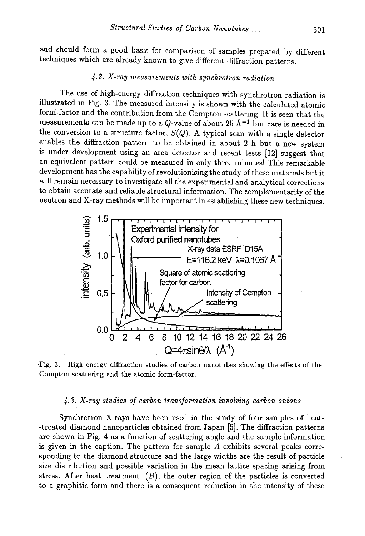and should form a good basis for comparison of samples prepared by different techniques which are already known to give different diffraction patterns.

# *4.2. X-ray measurements with synchrotron radiation*

The use of high-energy diffraction techniques with synchrotron radiation is illustrated in Fig. 3. The measured intensity is shown with the calculated atomic form-factor and the contribution from the Compton scattering. It is seen that the measurements can be made up to a Q-value of about 25  $\AA$ <sup>-1</sup> but care is needed in the conversion to a structure factor, *S(Q).* A typical scan with a single detector enables the diffraction pattern to be obtained in about 2 h but a new system is under development using an area detector and recent tests [12] suggest that an equivalent pattern could be measured in only three minutes! This remarkable development has the capability of revolutionising the study of these materials but it will remain necessary to investigate all the experimental and analytical corrections to obtain accurate and reliable structural information. The complementarity of the neutron and X-ray methods will be important in establishing these new techniques.



Fig. 3. High energy diffraction studies of carbon nanotubes showing the effects of the Compton scattering and the atomic form-factor.

# *4.3. X-ray studies of carbon transformation involving carbon onions*

Synchrotron X-rays have been used in the study of four samples of heat- -treated diamond nanoparticles obtained from Japan [5]. The diffraction patterns are shown in Fig. 4 as a function of scattering angle and the sample information is given in the caption. The pattern for sample  $A$  exhibits several peaks corresponding to the diamond structure and the large widths are the result of particle size distribution and possible variation in the mean lattice spacing arising from stress. After heat treatment, *(B),* the outer region of the particles is converted to a graphitic form and there is a consequent reduction in the intensity of these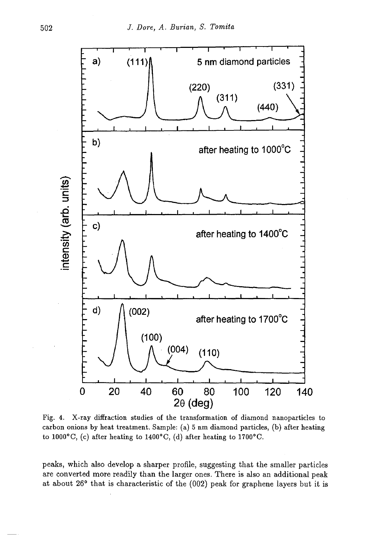

Fig. 4. X-ray diffraction studies of the transformation of diamond nanoparticles to carbon onions by heat treatment. Sample: (a) 5 nm diamond particles, (b) after heating to 1000°C, (c) after heating to 1400°C, (d) after heating to 1700°C.

peaks, which also develop a sharper profile, suggesting that the smaller particles are converted more readily than the larger ones. There is also an additional peak at about 26° that is characteristic of the (002) peak for graphene layers but it is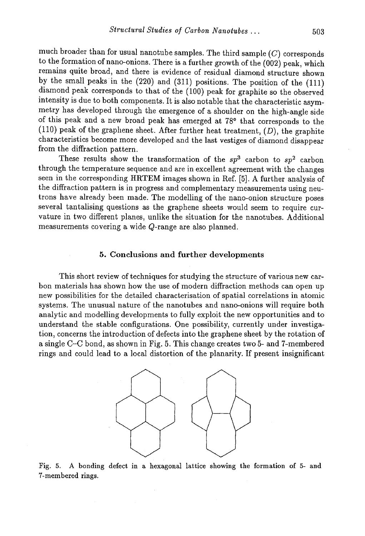much broader than for usual nanotube samples. The third sample  $(C)$  corresponds to the formation of nano-onions. There is a further growth of the (002) peak, which remains quite broad, and there is evidence of residual diamond structure shown by the small peaks in the (220) and (311) positions. The position of the (111) diamond peak corresponds to that of the (100) peak for graphite so the observed intensity is due to both components. It is also notable that the characteristic asymmetry has developed through the emergence of a shoulder on the high-angle side of this peak and a new broad peak has emerged at 78° that corresponds to the (110) peak of the graphene sheet. After further heat treatment, *(D),* the graphite characteristics become more developed and the last vestiges of diamond disappear from the diffraction pattern.

These results show the transformation of the  $sp^3$  carbon to  $sp^2$  carbon through the temperature sequence and are in excellent agreement with the changes seen in the corresponding HRTEM images shown in Ref. [5]. A further analysis of the diffraction pattern is in progress and complementary measurements using neutrons have already been made. The modelling of the nano-onion structure poses several tantalising questions as the graphene sheets would seem to require curvature in two different planes, unlike the situation for the nanotubes. Additional measurements covering a wide Q-range are also planned.

#### 5. Conclusions and further developments

This short review of techniques for studying the structure of various new carbon materials has shown how the use of modern diffraction methods can open up new possibilities for the detailed characterisation of spatial correlations in atomic systems. The unusual nature of the nanotubes and nano-onions will require both analytic and modelling developments to fully exploit the new opportunities and to understand the stable configurations. One possibility, currently under investigation, concerns the introduction of defects into the graphene sheet by the rotation of a single C—C bond, as shown in Fig. 5. This change creates two 5- and 7-membered rings and could lead to a local distortion of the planarity. If present insignificant



Fig. 5. A bonding defect in a hexagonal lattice showing the formation of 5- and 7-membered rings.